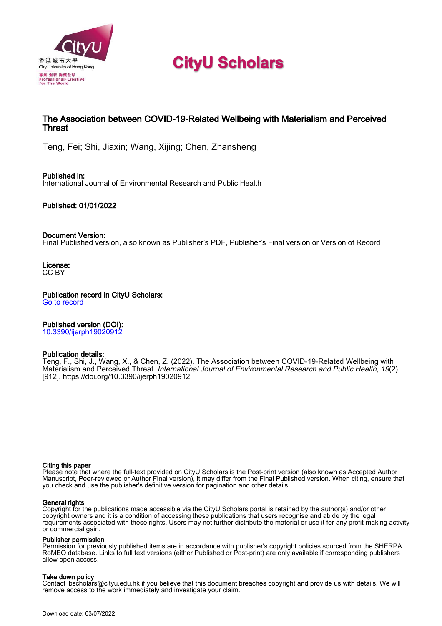

# **CityU Scholars**

# The Association between COVID-19-Related Wellbeing with Materialism and Perceived **Threat**

Teng, Fei; Shi, Jiaxin; Wang, Xijing; Chen, Zhansheng

Published in: International Journal of Environmental Research and Public Health

Published: 01/01/2022

# Document Version:

Final Published version, also known as Publisher's PDF, Publisher's Final version or Version of Record

License: CC BY

Publication record in CityU Scholars: [Go to record](https://scholars.cityu.edu.hk/en/publications/the-association-between-covid19related-wellbeing-with-materialism-and-perceived-threat(5ce09904-3b7c-46ca-b69b-b9acecca699f).html)

Published version (DOI):

[10.3390/ijerph19020912](https://doi.org/10.3390/ijerph19020912)

# Publication details:

Teng, F., Shi, J[., Wang, X.](https://scholars.cityu.edu.hk/en/persons/xijing-wang(ee597c30-372f-4211-8e9e-b39fe796915e).html), & Chen, Z. (2022). [The Association between COVID-19-Related Wellbeing with](https://scholars.cityu.edu.hk/en/publications/the-association-between-covid19related-wellbeing-with-materialism-and-perceived-threat(5ce09904-3b7c-46ca-b69b-b9acecca699f).html) [Materialism and Perceived Threat](https://scholars.cityu.edu.hk/en/publications/the-association-between-covid19related-wellbeing-with-materialism-and-perceived-threat(5ce09904-3b7c-46ca-b69b-b9acecca699f).html). *[International Journal of Environmental Research and Public Health](https://scholars.cityu.edu.hk/en/journals/international-journal-of-environmental-research-and-public-health(b9e88005-aa26-4ad7-9a6f-497aead9305f)/publications.html), 19*(2), [912]. <https://doi.org/10.3390/ijerph19020912>

#### Citing this paper

Please note that where the full-text provided on CityU Scholars is the Post-print version (also known as Accepted Author Manuscript, Peer-reviewed or Author Final version), it may differ from the Final Published version. When citing, ensure that you check and use the publisher's definitive version for pagination and other details.

# General rights

Copyright for the publications made accessible via the CityU Scholars portal is retained by the author(s) and/or other copyright owners and it is a condition of accessing these publications that users recognise and abide by the legal requirements associated with these rights. Users may not further distribute the material or use it for any profit-making activity or commercial gain.

# Publisher permission

Permission for previously published items are in accordance with publisher's copyright policies sourced from the SHERPA RoMEO database. Links to full text versions (either Published or Post-print) are only available if corresponding publishers allow open access.

# Take down policy

Contact lbscholars@cityu.edu.hk if you believe that this document breaches copyright and provide us with details. We will remove access to the work immediately and investigate your claim.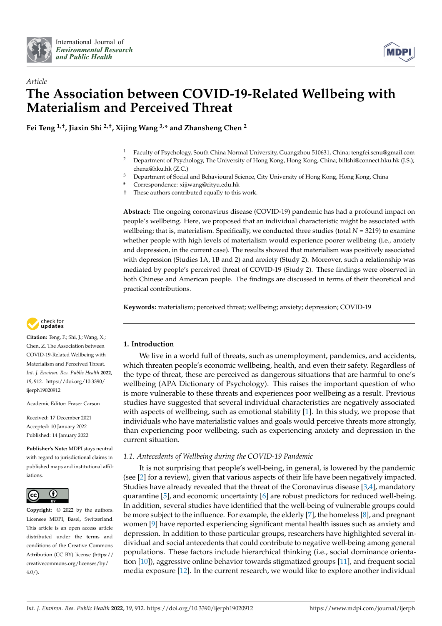



# *Article* **The Association between COVID-19-Related Wellbeing with Materialism and Perceived Threat**

**Fei Teng 1,†, Jiaxin Shi 2,†, Xijing Wang 3,\* and Zhansheng Chen <sup>2</sup>**

- <sup>1</sup> Faculty of Psychology, South China Normal University, Guangzhou 510631, China; tengfei.scnu@gmail.com<br><sup>2</sup> Department of Psychology, The University of Hang Kang, Hang Kang, China; hillshi@sennet blu, bl. (LG).
- <sup>2</sup> Department of Psychology, The University of Hong Kong, Hong Kong, China; billshi@connect.hku.hk (J.S.); chenz@hku.hk (Z.C.)
- <sup>3</sup> Department of Social and Behavioural Science, City University of Hong Kong, Hong Kong, China
- **\*** Correspondence: xijiwang@cityu.edu.hk
- † These authors contributed equally to this work.

**Abstract:** The ongoing coronavirus disease (COVID-19) pandemic has had a profound impact on people's wellbeing. Here, we proposed that an individual characteristic might be associated with wellbeing; that is, materialism. Specifically, we conducted three studies (total *N* = 3219) to examine whether people with high levels of materialism would experience poorer wellbeing (i.e., anxiety and depression, in the current case). The results showed that materialism was positively associated with depression (Studies 1A, 1B and 2) and anxiety (Study 2). Moreover, such a relationship was mediated by people's perceived threat of COVID-19 (Study 2). These findings were observed in both Chinese and American people. The findings are discussed in terms of their theoretical and practical contributions.

**Keywords:** materialism; perceived threat; wellbeing; anxiety; depression; COVID-19



**Citation:** Teng, F.; Shi, J.; Wang, X.; Chen, Z. The Association between COVID-19-Related Wellbeing with Materialism and Perceived Threat. *Int. J. Environ. Res. Public Health* **2022**, *19*, 912. [https://doi.org/10.3390/](https://doi.org/10.3390/ijerph19020912) [ijerph19020912](https://doi.org/10.3390/ijerph19020912)

Academic Editor: Fraser Carson

Received: 17 December 2021 Accepted: 10 January 2022 Published: 14 January 2022

**Publisher's Note:** MDPI stays neutral with regard to jurisdictional claims in published maps and institutional affiliations.



**Copyright:** © 2022 by the authors. Licensee MDPI, Basel, Switzerland. This article is an open access article distributed under the terms and conditions of the Creative Commons Attribution (CC BY) license [\(https://](https://creativecommons.org/licenses/by/4.0/) [creativecommons.org/licenses/by/](https://creativecommons.org/licenses/by/4.0/)  $4.0/$ ).

# **1. Introduction**

We live in a world full of threats, such as unemployment, pandemics, and accidents, which threaten people's economic wellbeing, health, and even their safety. Regardless of the type of threat, these are perceived as dangerous situations that are harmful to one's wellbeing (APA Dictionary of Psychology). This raises the important question of who is more vulnerable to these threats and experiences poor wellbeing as a result. Previous studies have suggested that several individual characteristics are negatively associated with aspects of wellbeing, such as emotional stability [\[1\]](#page-10-0). In this study, we propose that individuals who have materialistic values and goals would perceive threats more strongly, than experiencing poor wellbeing, such as experiencing anxiety and depression in the current situation.

# *1.1. Antecedents of Wellbeing during the COVID-19 Pandemic*

It is not surprising that people's well-being, in general, is lowered by the pandemic (see [\[2\]](#page-10-1) for a review), given that various aspects of their life have been negatively impacted. Studies have already revealed that the threat of the Coronavirus disease [\[3,](#page-10-2)[4\]](#page-11-0), mandatory quarantine [\[5\]](#page-11-1), and economic uncertainty [\[6\]](#page-11-2) are robust predictors for reduced well-being. In addition, several studies have identified that the well-being of vulnerable groups could be more subject to the influence. For example, the elderly [\[7\]](#page-11-3), the homeless [\[8\]](#page-11-4), and pregnant women [\[9\]](#page-11-5) have reported experiencing significant mental health issues such as anxiety and depression. In addition to those particular groups, researchers have highlighted several individual and social antecedents that could contribute to negative well-being among general populations. These factors include hierarchical thinking (i.e., social dominance orientation [\[10\]](#page-11-6)), aggressive online behavior towards stigmatized groups [\[11\]](#page-11-7), and frequent social media exposure [\[12\]](#page-11-8). In the current research, we would like to explore another individual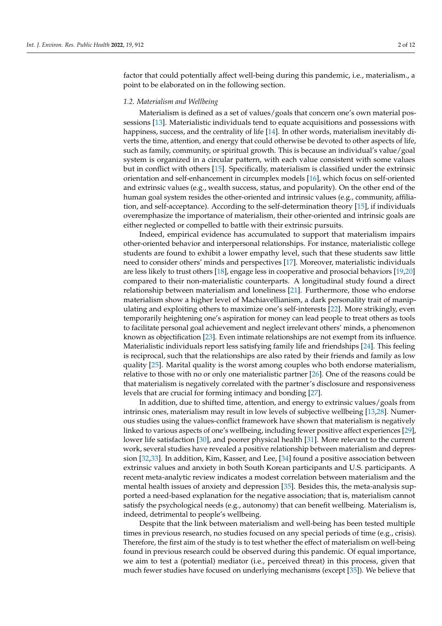factor that could potentially affect well-being during this pandemic, i.e., materialism., a point to be elaborated on in the following section.

#### *1.2. Materialism and Wellbeing*

Materialism is defined as a set of values/goals that concern one's own material possessions [\[13\]](#page-11-9). Materialistic individuals tend to equate acquisitions and possessions with happiness, success, and the centrality of life [\[14\]](#page-11-10). In other words, materialism inevitably diverts the time, attention, and energy that could otherwise be devoted to other aspects of life, such as family, community, or spiritual growth. This is because an individual's value/goal system is organized in a circular pattern, with each value consistent with some values but in conflict with others [\[15\]](#page-11-11). Specifically, materialism is classified under the extrinsic orientation and self-enhancement in circumplex models [\[16\]](#page-11-12), which focus on self-oriented and extrinsic values (e.g., wealth success, status, and popularity). On the other end of the human goal system resides the other-oriented and intrinsic values (e.g., community, affiliation, and self-acceptance). According to the self-determination theory [\[15\]](#page-11-11), if individuals overemphasize the importance of materialism, their other-oriented and intrinsic goals are either neglected or compelled to battle with their extrinsic pursuits.

Indeed, empirical evidence has accumulated to support that materialism impairs other-oriented behavior and interpersonal relationships. For instance, materialistic college students are found to exhibit a lower empathy level, such that these students saw little need to consider others' minds and perspectives [\[17\]](#page-11-13). Moreover, materialistic individuals are less likely to trust others [\[18\]](#page-11-14), engage less in cooperative and prosocial behaviors [\[19,](#page-11-15)[20\]](#page-11-16) compared to their non-materialistic counterparts. A longitudinal study found a direct relationship between materialism and loneliness [\[21\]](#page-11-17). Furthermore, those who endorse materialism show a higher level of Machiavellianism, a dark personality trait of manipulating and exploiting others to maximize one's self-interests [\[22\]](#page-11-18). More strikingly, even temporarily heightening one's aspiration for money can lead people to treat others as tools to facilitate personal goal achievement and neglect irrelevant others' minds, a phenomenon known as objectification [\[23\]](#page-11-19). Even intimate relationships are not exempt from its influence. Materialistic individuals report less satisfying family life and friendships [\[24\]](#page-11-20). This feeling is reciprocal, such that the relationships are also rated by their friends and family as low quality [\[25\]](#page-11-21). Marital quality is the worst among couples who both endorse materialism, relative to those with no or only one materialistic partner [\[26\]](#page-11-22). One of the reasons could be that materialism is negatively correlated with the partner's disclosure and responsiveness levels that are crucial for forming intimacy and bonding [\[27\]](#page-11-23).

In addition, due to shifted time, attention, and energy to extrinsic values/goals from intrinsic ones, materialism may result in low levels of subjective wellbeing [\[13,](#page-11-9)[28\]](#page-11-24). Numerous studies using the values-conflict framework have shown that materialism is negatively linked to various aspects of one's wellbeing, including fewer positive affect experiences [\[29\]](#page-11-25), lower life satisfaction [\[30\]](#page-11-26), and poorer physical health [\[31\]](#page-11-27). More relevant to the current work, several studies have revealed a positive relationship between materialism and depression [\[32](#page-11-28)[,33\]](#page-11-29). In addition, Kim, Kasser, and Lee, [\[34\]](#page-11-30) found a positive association between extrinsic values and anxiety in both South Korean participants and U.S. participants. A recent meta-analytic review indicates a modest correlation between materialism and the mental health issues of anxiety and depression [\[35\]](#page-12-0). Besides this, the meta-analysis supported a need-based explanation for the negative association; that is, materialism cannot satisfy the psychological needs (e.g., autonomy) that can benefit wellbeing. Materialism is, indeed, detrimental to people's wellbeing.

Despite that the link between materialism and well-being has been tested multiple times in previous research, no studies focused on any special periods of time (e.g., crisis). Therefore, the first aim of the study is to test whether the effect of materialism on well-being found in previous research could be observed during this pandemic. Of equal importance, we aim to test a (potential) mediator (i.e., perceived threat) in this process, given that much fewer studies have focused on underlying mechanisms (except [\[35\]](#page-12-0)). We believe that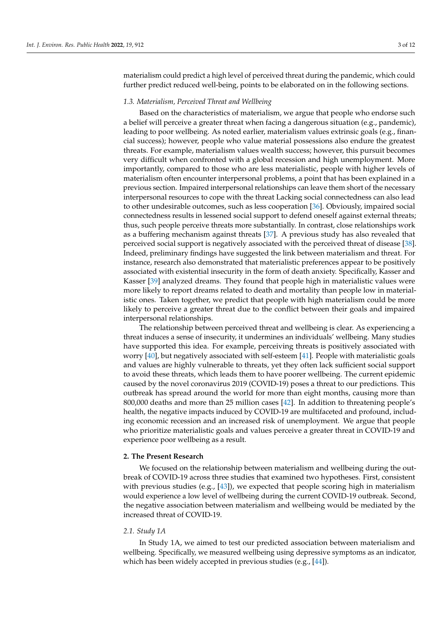materialism could predict a high level of perceived threat during the pandemic, which could further predict reduced well-being, points to be elaborated on in the following sections.

#### *1.3. Materialism, Perceived Threat and Wellbeing*

Based on the characteristics of materialism, we argue that people who endorse such a belief will perceive a greater threat when facing a dangerous situation (e.g., pandemic), leading to poor wellbeing. As noted earlier, materialism values extrinsic goals (e.g., financial success); however, people who value material possessions also endure the greatest threats. For example, materialism values wealth success; however, this pursuit becomes very difficult when confronted with a global recession and high unemployment. More importantly, compared to those who are less materialistic, people with higher levels of materialism often encounter interpersonal problems, a point that has been explained in a previous section. Impaired interpersonal relationships can leave them short of the necessary interpersonal resources to cope with the threat Lacking social connectedness can also lead to other undesirable outcomes, such as less cooperation [\[36\]](#page-12-1). Obviously, impaired social connectedness results in lessened social support to defend oneself against external threats; thus, such people perceive threats more substantially. In contrast, close relationships work as a buffering mechanism against threats [\[37\]](#page-12-2). A previous study has also revealed that perceived social support is negatively associated with the perceived threat of disease [\[38\]](#page-12-3). Indeed, preliminary findings have suggested the link between materialism and threat. For instance, research also demonstrated that materialistic preferences appear to be positively associated with existential insecurity in the form of death anxiety. Specifically, Kasser and Kasser [\[39\]](#page-12-4) analyzed dreams. They found that people high in materialistic values were more likely to report dreams related to death and mortality than people low in materialistic ones. Taken together, we predict that people with high materialism could be more likely to perceive a greater threat due to the conflict between their goals and impaired interpersonal relationships.

The relationship between perceived threat and wellbeing is clear. As experiencing a threat induces a sense of insecurity, it undermines an individuals' wellbeing. Many studies have supported this idea. For example, perceiving threats is positively associated with worry [\[40\]](#page-12-5), but negatively associated with self-esteem [\[41\]](#page-12-6). People with materialistic goals and values are highly vulnerable to threats, yet they often lack sufficient social support to avoid these threats, which leads them to have poorer wellbeing. The current epidemic caused by the novel coronavirus 2019 (COVID-19) poses a threat to our predictions. This outbreak has spread around the world for more than eight months, causing more than 800,000 deaths and more than 25 million cases [\[42\]](#page-12-7). In addition to threatening people's health, the negative impacts induced by COVID-19 are multifaceted and profound, including economic recession and an increased risk of unemployment. We argue that people who prioritize materialistic goals and values perceive a greater threat in COVID-19 and experience poor wellbeing as a result.

## **2. The Present Research**

We focused on the relationship between materialism and wellbeing during the outbreak of COVID-19 across three studies that examined two hypotheses. First, consistent with previous studies (e.g.,  $[43]$ ), we expected that people scoring high in materialism would experience a low level of wellbeing during the current COVID-19 outbreak. Second, the negative association between materialism and wellbeing would be mediated by the increased threat of COVID-19.

# *2.1. Study 1A*

In Study 1A, we aimed to test our predicted association between materialism and wellbeing. Specifically, we measured wellbeing using depressive symptoms as an indicator, which has been widely accepted in previous studies (e.g., [\[44\]](#page-12-9)).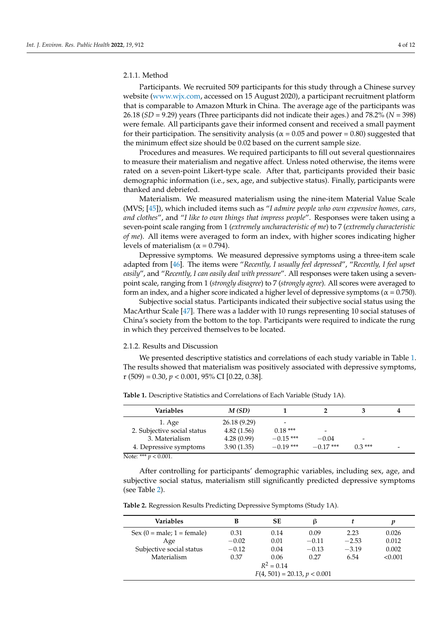# 2.1.1. Method

Participants. We recruited 509 participants for this study through a Chinese survey website [\(www.wjx.com,](www.wjx.com) accessed on 15 August 2020), a participant recruitment platform that is comparable to Amazon Mturk in China. The average age of the participants was 26.18 (*SD* = 9.29) years (Three participants did not indicate their ages.) and 78.2% (*N* = 398) were female. All participants gave their informed consent and received a small payment for their participation. The sensitivity analysis ( $\alpha$  = 0.05 and power = 0.80) suggested that the minimum effect size should be 0.02 based on the current sample size.

Procedures and measures. We required participants to fill out several questionnaires to measure their materialism and negative affect. Unless noted otherwise, the items were rated on a seven-point Likert-type scale. After that, participants provided their basic demographic information (i.e., sex, age, and subjective status). Finally, participants were thanked and debriefed.

Materialism. We measured materialism using the nine-item Material Value Scale (MVS; [\[45\]](#page-12-10)), which included items such as "*I admire people who own expensive homes, cars, and clothes*", and "*I like to own things that impress people*". Responses were taken using a seven-point scale ranging from 1 (*extremely uncharacteristic of me*) to 7 (*extremely characteristic of me*). All items were averaged to form an index, with higher scores indicating higher levels of materialism ( $\alpha$  = 0.794).

Depressive symptoms. We measured depressive symptoms using a three-item scale adapted from [\[46\]](#page-12-11). The items were "*Recently, I usually feel depressed*", "*Recently, I feel upset easily*", and "*Recently, I can easily deal with pressure*". All responses were taken using a sevenpoint scale, ranging from 1 (*strongly disagree*) to 7 (*strongly agree*). All scores were averaged to form an index, and a higher score indicated a higher level of depressive symptoms ( $\alpha$  = 0.750).

Subjective social status. Participants indicated their subjective social status using the MacArthur Scale [\[47\]](#page-12-12). There was a ladder with 10 rungs representing 10 social statuses of China's society from the bottom to the top. Participants were required to indicate the rung in which they perceived themselves to be located.

# 2.1.2. Results and Discussion

We presented descriptive statistics and correlations of each study variable in Table [1.](#page-4-0) The results showed that materialism was positively associated with depressive symptoms, r (509) = 0.30, *p* < 0.001, 95% CI [0.22, 0.38].

| Variables                   | M(SD)        |             |             |          |  |
|-----------------------------|--------------|-------------|-------------|----------|--|
| 1. Age                      | 26.18 (9.29) | -           |             |          |  |
| 2. Subjective social status | 4.82(1.56)   | $0.18***$   |             |          |  |
| 3. Materialism              | 4.28(0.99)   | $-0.15$ *** | $-0.04$     | -        |  |
| 4. Depressive symptoms      | 3.90(1.35)   | $-0.19$ *** | $-0.17$ *** | $0.3***$ |  |
| Note: *** $p < 0.001$ .     |              |             |             |          |  |

<span id="page-4-0"></span>**Table 1.** Descriptive Statistics and Correlations of Each Variable (Study 1A).

After controlling for participants' demographic variables, including sex, age, and subjective social status, materialism still significantly predicted depressive symptoms (see Table [2\)](#page-4-1).

<span id="page-4-1"></span>**Table 2.** Regression Results Predicting Depressive Symptoms (Study 1A).

| Variables                    | в                              | SЕ           | ß       |         | p       |  |
|------------------------------|--------------------------------|--------------|---------|---------|---------|--|
| Sex $(0 = male; 1 = female)$ | 0.31                           | 0.14         | 0.09    | 2.23    | 0.026   |  |
| Age                          | $-0.02$                        | 0.01         | $-0.11$ | $-2.53$ | 0.012   |  |
| Subjective social status     | $-0.12$                        | 0.04         | $-0.13$ | $-3.19$ | 0.002   |  |
| Materialism                  | 0.37                           | 0.06         | 0.27    | 6.54    | < 0.001 |  |
|                              |                                | $R^2 = 0.14$ |         |         |         |  |
|                              | $F(4, 501) = 20.13, p < 0.001$ |              |         |         |         |  |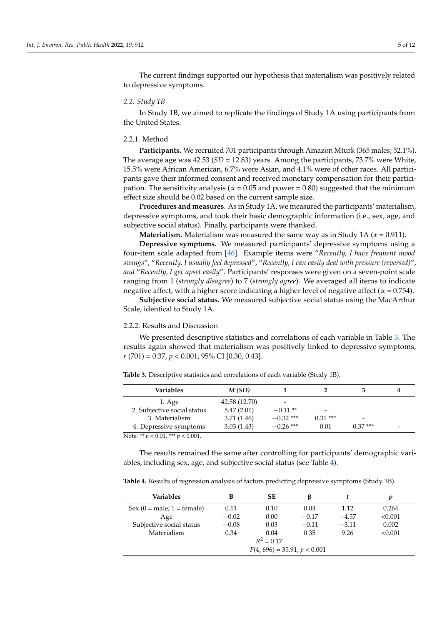The current findings supported our hypothesis that materialism was positively related to depressive symptoms.

## *2.2. Study 1B*

In Study 1B, we aimed to replicate the findings of Study 1A using participants from the United States.

## 2.2.1. Method

**Participants.** We recruited 701 participants through Amazon Mturk (365 males; 52.1%). The average age was  $42.53$  ( $SD = 12.83$ ) years. Among the participants,  $73.7\%$  were White, 15.5% were African American, 6.7% were Asian, and 4.1% were of other races. All participants gave their informed consent and received monetary compensation for their participation. The sensitivity analysis ( $\alpha$  = 0.05 and power = 0.80) suggested that the minimum effect size should be 0.02 based on the current sample size.

**Procedures and measures**. As in Study 1A, we measured the participants' materialism, depressive symptoms, and took their basic demographic information (i.e., sex, age, and subjective social status). Finally, participants were thanked.

**Materialism.** Materialism was measured the same way as in Study 1A (*α* = 0.911).

**Depressive symptoms.** We measured participants' depressive symptoms using a four-item scale adapted from [\[46\]](#page-12-11). Example items were "*Recently, I have frequent mood swings*", "*Recently, I usually feel depressed*", "*Recently, I can easily deal with pressure (reversed)*", *and* "*Recently, I get upset easily*". Participants' responses were given on a seven-point scale ranging from 1 (*strongly disagree*) to 7 (*strongly agree*). We averaged all items to indicate negative affect, with a higher score indicating a higher level of negative affect ( $\alpha$  = 0.754).

**Subjective social status.** We measured subjective social status using the MacArthur Scale, identical to Study 1A.

# 2.2.2. Results and Discussion

We presented descriptive statistics and correlations of each variable in Table [3.](#page-5-0) The results again showed that materialism was positively linked to depressive symptoms, *r* (701) = 0.37, *p* < 0.001, 95% CI [0.30, 0.43].

<span id="page-5-0"></span>

|  | <b>Table 3.</b> Descriptive statistics and correlations of each variable (Study 1B). |
|--|--------------------------------------------------------------------------------------|
|--|--------------------------------------------------------------------------------------|

| Variables                               | M(SD)         |             |           |           |  |
|-----------------------------------------|---------------|-------------|-----------|-----------|--|
| $1. \text{Age}$                         | 42.58 (12.70) |             |           |           |  |
| 2. Subjective social status             | 5.47(2.01)    | $-0.11**$   | -         |           |  |
| 3. Materialism                          | 3.71(1.46)    | $-0.32$ *** | $0.31***$ | -         |  |
| 4. Depressive symptoms                  | 3.03(1.43)    | $-0.26$ *** | 0.01      | $0.37***$ |  |
| Note: ** $p < 0.01$ , *** $p < 0.001$ . |               |             |           |           |  |

The results remained the same after controlling for participants' demographic variables, including sex, age, and subjective social status (see Table [4\)](#page-5-1).

<span id="page-5-1"></span>**Table 4.** Results of regression analysis of factors predicting depressive symptoms (Study 1B).

| <b>Variables</b>                                       | в       | SЕ   | 13      |         | р       |  |
|--------------------------------------------------------|---------|------|---------|---------|---------|--|
| $Sex (0 = male; 1 = female)$                           | 0.11    | 0.10 | 0.04    | 1.12    | 0.264   |  |
| Age                                                    | $-0.02$ | 0.00 | $-0.17$ | $-4.57$ | < 0.001 |  |
| Subjective social status                               | $-0.08$ | 0.03 | $-0.11$ | $-3.11$ | 0.002   |  |
| Materialism<br>0.34<br>0.35<br>9.26<br>< 0.001<br>0.04 |         |      |         |         |         |  |
| $R^2 = 0.17$                                           |         |      |         |         |         |  |
| $F(4, 696) = 35.91, p < 0.001$                         |         |      |         |         |         |  |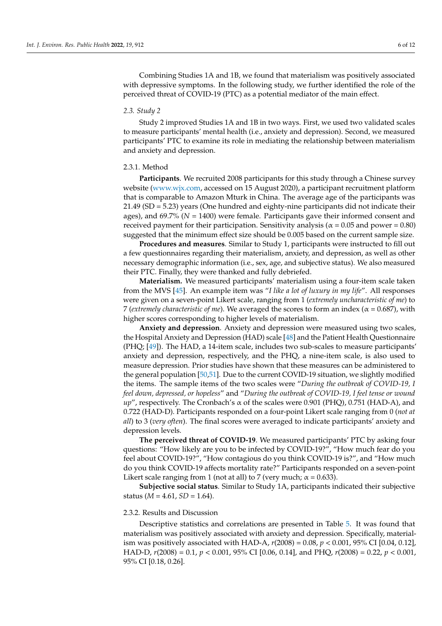Combining Studies 1A and 1B, we found that materialism was positively associated with depressive symptoms. In the following study, we further identified the role of the perceived threat of COVID-19 (PTC) as a potential mediator of the main effect.

# *2.3. Study 2*

Study 2 improved Studies 1A and 1B in two ways. First, we used two validated scales to measure participants' mental health (i.e., anxiety and depression). Second, we measured participants' PTC to examine its role in mediating the relationship between materialism and anxiety and depression.

# 2.3.1. Method

**Participants**. We recruited 2008 participants for this study through a Chinese survey website [\(www.wjx.com,](www.wjx.com) accessed on 15 August 2020), a participant recruitment platform that is comparable to Amazon Mturk in China. The average age of the participants was 21.49 (SD = 5.23) years (One hundred and eighty-nine participants did not indicate their ages), and 69.7% (*N* = 1400) were female. Participants gave their informed consent and received payment for their participation. Sensitivity analysis ( $\alpha$  = 0.05 and power = 0.80) suggested that the minimum effect size should be 0.005 based on the current sample size.

**Procedures and measures**. Similar to Study 1, participants were instructed to fill out a few questionnaires regarding their materialism, anxiety, and depression, as well as other necessary demographic information (i.e., sex, age, and subjective status). We also measured their PTC. Finally, they were thanked and fully debriefed.

**Materialism.** We measured participants' materialism using a four-item scale taken from the MVS [\[45\]](#page-12-10). An example item was "*I like a lot of luxury in my life*". All responses were given on a seven-point Likert scale, ranging from 1 (*extremely uncharacteristic of me*) to 7 (*extremely characteristic of me*). We averaged the scores to form an index ( $\alpha$  = 0.687), with higher scores corresponding to higher levels of materialism.

**Anxiety and depression**. Anxiety and depression were measured using two scales, the Hospital Anxiety and Depression (HAD) scale [\[48\]](#page-12-13) and the Patient Health Questionnaire (PHQ; [\[49\]](#page-12-14)). The HAD, a 14-item scale, includes two sub-scales to measure participants' anxiety and depression, respectively, and the PHQ, a nine-item scale, is also used to measure depression. Prior studies have shown that these measures can be administered to the general population [\[50,](#page-12-15)[51\]](#page-12-16). Due to the current COVID-19 situation, we slightly modified the items. The sample items of the two scales were "*During the outbreak of COVID-19, I feel down, depressed, or hopeless*" and "*During the outbreak of COVID-19, I feel tense or wound up*", respectively. The Cronbach's α of the scales were 0.901 (PHQ), 0.751 (HAD-A), and 0.722 (HAD-D). Participants responded on a four-point Likert scale ranging from 0 (*not at all*) to 3 (*very often*). The final scores were averaged to indicate participants' anxiety and depression levels.

**The perceived threat of COVID-19**. We measured participants' PTC by asking four questions: "How likely are you to be infected by COVID-19?", "How much fear do you feel about COVID-19?", "How contagious do you think COVID-19 is?", and "How much do you think COVID-19 affects mortality rate?" Participants responded on a seven-point Likert scale ranging from 1 (not at all) to 7 (very much;  $\alpha$  = 0.633).

**Subjective social status**. Similar to Study 1A, participants indicated their subjective status ( $M = 4.61$ ,  $SD = 1.64$ ).

#### 2.3.2. Results and Discussion

Descriptive statistics and correlations are presented in Table [5.](#page-7-0) It was found that materialism was positively associated with anxiety and depression. Specifically, materialism was positively associated with HAD-A, *r*(2008) = 0.08, *p* < 0.001, 95% CI [0.04, 0.12], HAD-D, *r*(2008) = 0.1, *p* < 0.001, 95% CI [0.06, 0.14], and PHQ, *r*(2008) = 0.22, *p* < 0.001, 95% CI [0.18, 0.26].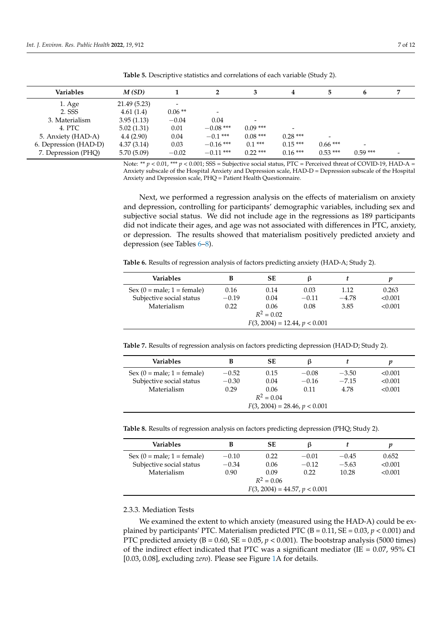| Variables             | M(SD)        |          |             |            | 4                        |                          | 6         |  |
|-----------------------|--------------|----------|-------------|------------|--------------------------|--------------------------|-----------|--|
| 1. Age                | 21.49 (5.23) |          |             |            |                          |                          |           |  |
| 2. SSS                | 4.61(1.4)    | $0.06**$ |             |            |                          |                          |           |  |
| 3. Materialism        | 3.95(1.13)   | $-0.04$  | 0.04        |            |                          |                          |           |  |
| 4. PTC                | 5.02(1.31)   | 0.01     | $-0.08$ *** | $0.09***$  | $\overline{\phantom{a}}$ |                          |           |  |
| 5. Anxiety (HAD-A)    | 4.4(2.90)    | 0.04     | $-0.1$ ***  | $0.08***$  | $0.28***$                | $\overline{\phantom{a}}$ |           |  |
| 6. Depression (HAD-D) | 4.37(3.14)   | 0.03     | $-0.16$ *** | $0.1***$   | $0.15***$                | $0.66***$                | -         |  |
| 7. Depression (PHQ)   | 5.70(5.09)   | $-0.02$  | $-0.11$ *** | $0.22$ *** | $0.16***$                | $0.53***$                | $0.59***$ |  |

<span id="page-7-0"></span>**Table 5.** Descriptive statistics and correlations of each variable (Study 2).

Note: \*\*  $p < 0.01$ , \*\*\*  $p < 0.001$ ; SSS = Subjective social status, PTC = Perceived threat of COVID-19, HAD-A = Anxiety subscale of the Hospital Anxiety and Depression scale, HAD-D = Depression subscale of the Hospital Anxiety and Depression scale, PHQ = Patient Health Questionnaire.

Next, we performed a regression analysis on the effects of materialism on anxiety and depression, controlling for participants' demographic variables, including sex and subjective social status. We did not include age in the regressions as 189 participants did not indicate their ages, and age was not associated with differences in PTC, anxiety, or depression. The results showed that materialism positively predicted anxiety and depression (see Tables [6](#page-7-1)[–8\)](#page-7-2).

<span id="page-7-1"></span>**Table 6.** Results of regression analysis of factors predicting anxiety (HAD-A; Study 2).

| Variables                       |         | SЕ           | 13      |         |         |  |
|---------------------------------|---------|--------------|---------|---------|---------|--|
| $Sex (0 = male; 1 = female)$    | 0.16    | 0.14         | 0.03    | 1.12    | 0.263   |  |
| Subjective social status        | $-0.19$ | 0.04         | $-0.11$ | $-4.78$ | < 0.001 |  |
| Materialism                     | 0.22    | 0.06         | 0.08    | 3.85    | < 0.001 |  |
|                                 |         | $R^2 = 0.02$ |         |         |         |  |
| $F(3, 2004) = 12.44, p < 0.001$ |         |              |         |         |         |  |

**Table 7.** Results of regression analysis on factors predicting depression (HAD-D; Study 2).

| Variables                       | В       | SЕ   |         |         |         |  |  |
|---------------------------------|---------|------|---------|---------|---------|--|--|
| $Sex (0 = male; 1 = female)$    | $-0.52$ | 0.15 | $-0.08$ | $-3.50$ | < 0.001 |  |  |
| Subjective social status        | $-0.30$ | 0.04 | $-0.16$ | $-7.15$ | < 0.001 |  |  |
| Materialism                     | 0.29    | 0.06 | 0.11    | 4.78    | < 0.001 |  |  |
| $R^2 = 0.04$                    |         |      |         |         |         |  |  |
| $F(3, 2004) = 28.46, p < 0.001$ |         |      |         |         |         |  |  |

<span id="page-7-2"></span>

|  | Table 8. Results of regression analysis on factors predicting depression (PHQ; Study 2). |  |  |  |  |  |
|--|------------------------------------------------------------------------------------------|--|--|--|--|--|
|--|------------------------------------------------------------------------------------------|--|--|--|--|--|

| Variables                       |         | SЕ   | 13      |         | р       |  |
|---------------------------------|---------|------|---------|---------|---------|--|
| $Sex (0 = male; 1 = female)$    | $-0.10$ | 0.22 | $-0.01$ | $-0.45$ | 0.652   |  |
| Subjective social status        | $-0.34$ | 0.06 | $-0.12$ | $-5.63$ | < 0.001 |  |
| Materialism                     | 0.90    | 0.09 | 0.22    | 10.28   | < 0.001 |  |
| $R^2 = 0.06$                    |         |      |         |         |         |  |
| $F(3, 2004) = 44.57, p < 0.001$ |         |      |         |         |         |  |

# 2.3.3. Mediation Tests

We examined the extent to which anxiety (measured using the HAD-A) could be explained by participants' PTC. Materialism predicted PTC ( $B = 0.11$ ,  $SE = 0.03$ ,  $p < 0.001$ ) and PTC predicted anxiety ( $B = 0.60$ ,  $SE = 0.05$ ,  $p < 0.001$ ). The bootstrap analysis (5000 times) of the indirect effect indicated that PTC was a significant mediator (IE =  $0.07$ ,  $95\%$  CI [0.03, 0.08], excluding *zero*). Please see Figure [1A](#page-8-0) for details.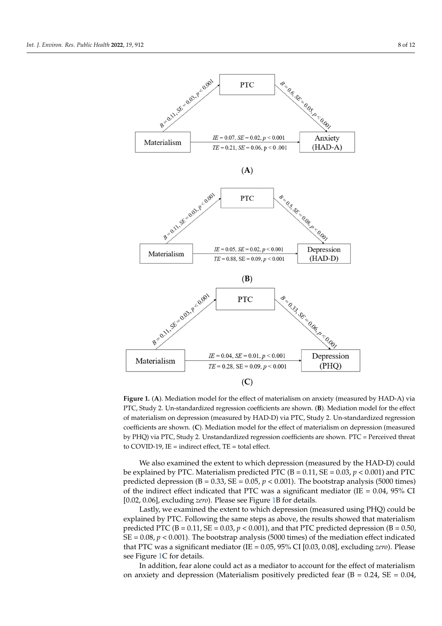<span id="page-8-0"></span>

**Figure 1.** (**A**). Mediation model for the effect of materialism on anxiety (measured by HAD-A) via **Figure 1.** (**A**). Mediation model for the effect of materialism on anxiety (measured by HAD-A) via PTC, Study 2. Un-standardized regression coefficients are shown. (B). Mediation model for the effect of materialism on depression (measured by HAD-D) via PTC, Study 2. Un-standardized regression coefficients are shown. (C). Mediation model for the effect of materialism on depression (measured by PHQ) via PTC, Study 2. Unstandardized regression coefficients are shown. PTC = Perceived threat to COVID-19, IE = indirect effect, TE = total effect.

We also examined the extent to which depression (measured by the HAD-D) could We also examined the extent to which depression (measured by the HAD-D) could be explained by PTC. Materialism predicted PTC ( $B = 0.11$ ,  $SE = 0.03$ ,  $p < 0.001$ ) and PTC predicted depression ( $B = 0.33$ ,  $SE = 0.05$ ,  $p < 0.001$ ). The bootstrap analysis (5000 times) of the indirect effect indicated that PTC was a significant mediator (*IE* = 0.04, 95% CI<br> $[0.02, 0.06]$  evaluating zero). Please see Figure 1B for datails [0.02, 0.06], excluding *zero*). Please see Figure [1B](#page-8-0) for details.

0.06], excluding *zero*). Please see Figure 1B for details. Lastly, we examined the extent to which depression (measured using PHQ) could be explained by PTC. Following the same steps as above, the results showed that materialism predicted PTC (B = 0.11, SE = 0.03,  $p < 0.001$ ), and that PTC predicted depression (B = 0.50,  $SE = 0.08$ ,  $p < 0.001$ ). The bootstrap analysis (5000 times) of the mediation effect indicated that PTC was a significant mediator (IE = 0.05*,* 95% CI [0.03*,* 0.08]*,* excluding *zero*). Please that PTC was a significant mediator (*IE*  $\frac{1}{2}$   $\frac{1}{2}$   $\frac{1}{2}$   $\frac{1}{2}$   $\frac{1}{2}$   $\frac{1}{2}$   $\frac{1}{2}$   $\frac{1}{2}$   $\frac{1}{2}$   $\frac{1}{2}$   $\frac{1}{2}$   $\frac{1}{2}$   $\frac{1}{2}$   $\frac{1}{2}$   $\frac{1}{2}$   $\frac{1}{2}$   $\frac{1}{2}$   $\frac{1}{2}$ 

In addition, fear alone could act as a mediator to account for the effect of materialism on anxiety and depression (Materialism positively predicted fear (B =  $0.24$ , SE =  $0.04$ ,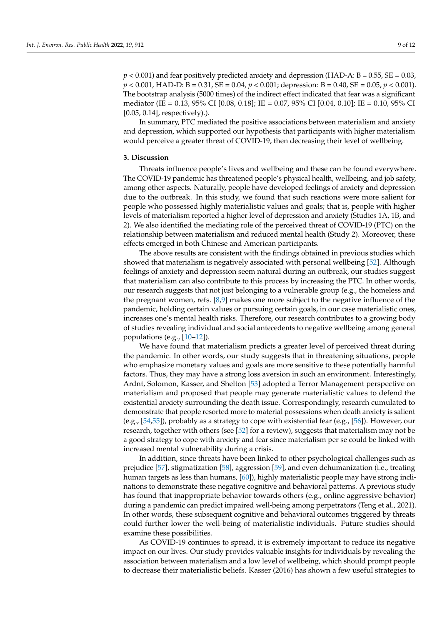$p < 0.001$ ) and fear positively predicted anxiety and depression (HAD-A: B = 0.55, SE = 0.03, *p* < 0.001, HAD-D: B = 0.31, SE = 0.04, *p* < 0.001; depression: B = 0.40, SE = 0.05, *p* < 0.001). The bootstrap analysis (5000 times) of the indirect effect indicated that fear was a significant mediator (IE = 0.13, 95% CI [0.08, 0.18]; IE = 0.07, 95% CI [0.04, 0.10]; IE = 0.10, 95% CI [0.05, 0.14], respectively).).

In summary, PTC mediated the positive associations between materialism and anxiety and depression, which supported our hypothesis that participants with higher materialism would perceive a greater threat of COVID-19, then decreasing their level of wellbeing.

# **3. Discussion**

Threats influence people's lives and wellbeing and these can be found everywhere. The COVID-19 pandemic has threatened people's physical health, wellbeing, and job safety, among other aspects. Naturally, people have developed feelings of anxiety and depression due to the outbreak. In this study, we found that such reactions were more salient for people who possessed highly materialistic values and goals; that is, people with higher levels of materialism reported a higher level of depression and anxiety (Studies 1A, 1B, and 2). We also identified the mediating role of the perceived threat of COVID-19 (PTC) on the relationship between materialism and reduced mental health (Study 2). Moreover, these effects emerged in both Chinese and American participants.

The above results are consistent with the findings obtained in previous studies which showed that materialism is negatively associated with personal wellbeing [\[52\]](#page-12-17). Although feelings of anxiety and depression seem natural during an outbreak, our studies suggest that materialism can also contribute to this process by increasing the PTC. In other words, our research suggests that not just belonging to a vulnerable group (e.g., the homeless and the pregnant women, refs. [\[8](#page-11-4)[,9\]](#page-11-5) makes one more subject to the negative influence of the pandemic, holding certain values or pursuing certain goals, in our case materialistic ones, increases one's mental health risks. Therefore, our research contributes to a growing body of studies revealing individual and social antecedents to negative wellbeing among general populations (e.g., [\[10](#page-11-6)[–12\]](#page-11-8)).

We have found that materialism predicts a greater level of perceived threat during the pandemic. In other words, our study suggests that in threatening situations, people who emphasize monetary values and goals are more sensitive to these potentially harmful factors. Thus, they may have a strong loss aversion in such an environment. Interestingly, Ardnt, Solomon, Kasser, and Shelton [\[53\]](#page-12-18) adopted a Terror Management perspective on materialism and proposed that people may generate materialistic values to defend the existential anxiety surrounding the death issue. Correspondingly, research cumulated to demonstrate that people resorted more to material possessions when death anxiety is salient (e.g., [\[54](#page-12-19)[,55\]](#page-12-20)), probably as a strategy to cope with existential fear (e.g., [\[56\]](#page-12-21)). However, our research, together with others (see [\[52\]](#page-12-17) for a review), suggests that materialism may not be a good strategy to cope with anxiety and fear since materialism per se could be linked with increased mental vulnerability during a crisis.

In addition, since threats have been linked to other psychological challenges such as prejudice [\[57\]](#page-12-22), stigmatization [\[58\]](#page-12-23), aggression [\[59\]](#page-12-24), and even dehumanization (i.e., treating human targets as less than humans, [\[60\]](#page-12-25)), highly materialistic people may have strong inclinations to demonstrate these negative cognitive and behavioral patterns. A previous study has found that inappropriate behavior towards others (e.g., online aggressive behavior) during a pandemic can predict impaired well-being among perpetrators (Teng et al., 2021). In other words, these subsequent cognitive and behavioral outcomes triggered by threats could further lower the well-being of materialistic individuals. Future studies should examine these possibilities.

As COVID-19 continues to spread, it is extremely important to reduce its negative impact on our lives. Our study provides valuable insights for individuals by revealing the association between materialism and a low level of wellbeing, which should prompt people to decrease their materialistic beliefs. Kasser (2016) has shown a few useful strategies to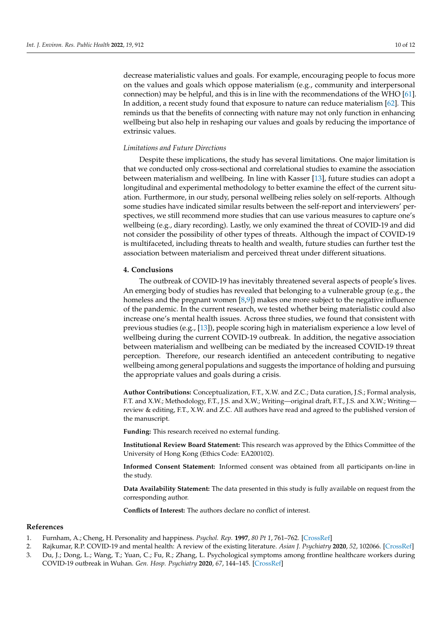decrease materialistic values and goals. For example, encouraging people to focus more on the values and goals which oppose materialism (e.g., community and interpersonal connection) may be helpful, and this is in line with the recommendations of the WHO [\[61\]](#page-12-26). In addition, a recent study found that exposure to nature can reduce materialism [\[62\]](#page-12-27). This reminds us that the benefits of connecting with nature may not only function in enhancing wellbeing but also help in reshaping our values and goals by reducing the importance of extrinsic values.

## *Limitations and Future Directions*

Despite these implications, the study has several limitations. One major limitation is that we conducted only cross-sectional and correlational studies to examine the association between materialism and wellbeing. In line with Kasser [\[13\]](#page-11-9), future studies can adopt a longitudinal and experimental methodology to better examine the effect of the current situation. Furthermore, in our study, personal wellbeing relies solely on self-reports. Although some studies have indicated similar results between the self-report and interviewers' perspectives, we still recommend more studies that can use various measures to capture one's wellbeing (e.g., diary recording). Lastly, we only examined the threat of COVID-19 and did not consider the possibility of other types of threats. Although the impact of COVID-19 is multifaceted, including threats to health and wealth, future studies can further test the association between materialism and perceived threat under different situations.

# **4. Conclusions**

The outbreak of COVID-19 has inevitably threatened several aspects of people's lives. An emerging body of studies has revealed that belonging to a vulnerable group (e.g., the homeless and the pregnant women [\[8,](#page-11-4)[9\]](#page-11-5)) makes one more subject to the negative influence of the pandemic. In the current research, we tested whether being materialistic could also increase one's mental health issues. Across three studies, we found that consistent with previous studies (e.g., [\[13\]](#page-11-9)), people scoring high in materialism experience a low level of wellbeing during the current COVID-19 outbreak. In addition, the negative association between materialism and wellbeing can be mediated by the increased COVID-19 threat perception. Therefore, our research identified an antecedent contributing to negative wellbeing among general populations and suggests the importance of holding and pursuing the appropriate values and goals during a crisis.

**Author Contributions:** Conceptualization, F.T., X.W. and Z.C.; Data curation, J.S.; Formal analysis, F.T. and X.W.; Methodology, F.T., J.S. and X.W.; Writing—original draft, F.T., J.S. and X.W.; Writing review & editing, F.T., X.W. and Z.C. All authors have read and agreed to the published version of the manuscript.

**Funding:** This research received no external funding.

**Institutional Review Board Statement:** This research was approved by the Ethics Committee of the University of Hong Kong (Ethics Code: EA200102).

**Informed Consent Statement:** Informed consent was obtained from all participants on-line in the study.

**Data Availability Statement:** The data presented in this study is fully available on request from the corresponding author.

**Conflicts of Interest:** The authors declare no conflict of interest.

#### **References**

- <span id="page-10-0"></span>1. Furnham, A.; Cheng, H. Personality and happiness. *Psychol. Rep.* **1997**, *80 Pt 1*, 761–762. [\[CrossRef\]](http://doi.org/10.2466/pr0.1997.80.3.761)
- <span id="page-10-1"></span>2. Rajkumar, R.P. COVID-19 and mental health: A review of the existing literature. *Asian J. Psychiatry* **2020**, *52*, 102066. [\[CrossRef\]](http://doi.org/10.1016/j.ajp.2020.102066)
- <span id="page-10-2"></span>3. Du, J.; Dong, L.; Wang, T.; Yuan, C.; Fu, R.; Zhang, L. Psychological symptoms among frontline healthcare workers during COVID-19 outbreak in Wuhan. *Gen. Hosp. Psychiatry* **2020**, *67*, 144–145. [\[CrossRef\]](http://doi.org/10.1016/j.genhosppsych.2020.03.011)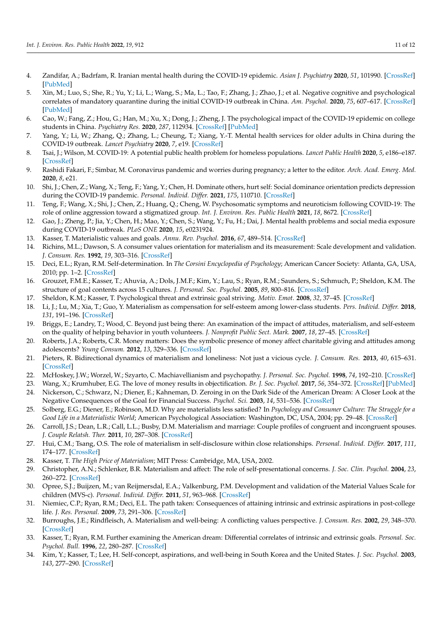- <span id="page-11-0"></span>4. Zandifar, A.; Badrfam, R. Iranian mental health during the COVID-19 epidemic. *Asian J. Psychiatry* **2020**, *51*, 101990. [\[CrossRef\]](http://doi.org/10.1016/j.ajp.2020.101990) [\[PubMed\]](http://www.ncbi.nlm.nih.gov/pubmed/32163908)
- <span id="page-11-1"></span>5. Xin, M.; Luo, S.; She, R.; Yu, Y.; Li, L.; Wang, S.; Ma, L.; Tao, F.; Zhang, J.; Zhao, J.; et al. Negative cognitive and psychological correlates of mandatory quarantine during the initial COVID-19 outbreak in China. *Am. Psychol.* **2020**, *75*, 607–617. [\[CrossRef\]](http://doi.org/10.1037/amp0000692) [\[PubMed\]](http://www.ncbi.nlm.nih.gov/pubmed/32673008)
- <span id="page-11-2"></span>6. Cao, W.; Fang, Z.; Hou, G.; Han, M.; Xu, X.; Dong, J.; Zheng, J. The psychological impact of the COVID-19 epidemic on college students in China. *Psychiatry Res.* **2020**, *287*, 112934. [\[CrossRef\]](http://doi.org/10.1016/j.psychres.2020.112934) [\[PubMed\]](http://www.ncbi.nlm.nih.gov/pubmed/32229390)
- <span id="page-11-3"></span>7. Yang, Y.; Li, W.; Zhang, Q.; Zhang, L.; Cheung, T.; Xiang, Y.-T. Mental health services for older adults in China during the COVID-19 outbreak. *Lancet Psychiatry* **2020**, *7*, e19. [\[CrossRef\]](http://doi.org/10.1016/S2215-0366(20)30079-1)
- <span id="page-11-4"></span>8. Tsai, J.; Wilson, M. COVID-19: A potential public health problem for homeless populations. *Lancet Public Health* **2020**, *5*, e186–e187. [\[CrossRef\]](http://doi.org/10.1016/S2468-2667(20)30053-0)
- <span id="page-11-5"></span>9. Rashidi Fakari, F.; Simbar, M. Coronavirus pandemic and worries during pregnancy; a letter to the editor. *Arch. Acad. Emerg. Med.* **2020**, *8*, e21.
- <span id="page-11-6"></span>10. Shi, J.; Chen, Z.; Wang, X.; Teng, F.; Yang, Y.; Chen, H. Dominate others, hurt self: Social dominance orientation predicts depression during the COVID-19 pandemic. *Personal. Individ. Differ.* **2021**, *175*, 110710. [\[CrossRef\]](http://doi.org/10.1016/j.paid.2021.110710)
- <span id="page-11-7"></span>11. Teng, F.; Wang, X.; Shi, J.; Chen, Z.; Huang, Q.; Cheng, W. Psychosomatic symptoms and neuroticism following COVID-19: The role of online aggression toward a stigmatized group. *Int. J. Environ. Res. Public Health* **2021**, *18*, 8672. [\[CrossRef\]](http://doi.org/10.3390/ijerph18168672)
- <span id="page-11-8"></span>12. Gao, J.; Zheng, P.; Jia, Y.; Chen, H.; Mao, Y.; Chen, S.; Wang, Y.; Fu, H.; Dai, J. Mental health problems and social media exposure during COVID-19 outbreak. *PLoS ONE* **2020**, *15*, e0231924.
- <span id="page-11-9"></span>13. Kasser, T. Materialistic values and goals. *Annu. Rev. Psychol.* **2016**, *67*, 489–514. [\[CrossRef\]](http://doi.org/10.1146/annurev-psych-122414-033344)
- <span id="page-11-10"></span>14. Richins, M.L.; Dawson, S. A consumer values orientation for materialism and its measurement: Scale development and validation. *J. Consum. Res.* **1992**, *19*, 303–316. [\[CrossRef\]](http://doi.org/10.1086/209304)
- <span id="page-11-11"></span>15. Deci, E.L.; Ryan, R.M. Self-determination. In *The Corsini Encyclopedia of Psychology*; American Cancer Society: Atlanta, GA, USA, 2010; pp. 1–2. [\[CrossRef\]](http://doi.org/10.1002/9780470479216.corpsy0834)
- <span id="page-11-12"></span>16. Grouzet, F.M.E.; Kasser, T.; Ahuvia, A.; Dols, J.M.F.; Kim, Y.; Lau, S.; Ryan, R.M.; Saunders, S.; Schmuch, P.; Sheldon, K.M. The structure of goal contents across 15 cultures. *J. Personal. Soc. Psychol.* **2005**, *89*, 800–816. [\[CrossRef\]](http://doi.org/10.1037/0022-3514.89.5.800)
- <span id="page-11-13"></span>17. Sheldon, K.M.; Kasser, T. Psychological threat and extrinsic goal striving. *Motiv. Emot.* **2008**, *32*, 37–45. [\[CrossRef\]](http://doi.org/10.1007/s11031-008-9081-5)
- <span id="page-11-14"></span>18. Li, J.; Lu, M.; Xia, T.; Guo, Y. Materialism as compensation for self-esteem among lower-class students. *Pers. Individ. Differ.* **2018**, *131*, 191–196. [\[CrossRef\]](http://doi.org/10.1016/j.paid.2018.04.038)
- <span id="page-11-15"></span>19. Briggs, E.; Landry, T.; Wood, C. Beyond just being there: An examination of the impact of attitudes, materialism, and self-esteem on the quality of helping behavior in youth volunteers. *J. Nonprofit Public Sect. Mark.* **2007**, *18*, 27–45. [\[CrossRef\]](http://doi.org/10.1300/J054v18n02_02)
- <span id="page-11-16"></span>20. Roberts, J.A.; Roberts, C.R. Money matters: Does the symbolic presence of money affect charitable giving and attitudes among adolescents? *Young Consum.* **2012**, *13*, 329–336. [\[CrossRef\]](http://doi.org/10.1108/17473611211282572)
- <span id="page-11-17"></span>21. Pieters, R. Bidirectional dynamics of materialism and loneliness: Not just a vicious cycle. *J. Consum. Res.* **2013**, *40*, 615–631. [\[CrossRef\]](http://doi.org/10.1086/671564)
- <span id="page-11-18"></span>22. McHoskey, J.W.; Worzel, W.; Szyarto, C. Machiavellianism and psychopathy. *J. Personal. Soc. Psychol.* **1998**, *74*, 192–210. [\[CrossRef\]](http://doi.org/10.1037/0022-3514.74.1.192)
- <span id="page-11-19"></span>23. Wang, X.; Krumhuber, E.G. The love of money results in objectification. *Br. J. Soc. Psychol.* **2017**, *56*, 354–372. [\[CrossRef\]](http://doi.org/10.1111/bjso.12158) [\[PubMed\]](http://www.ncbi.nlm.nih.gov/pubmed/27611242)
- <span id="page-11-20"></span>24. Nickerson, C.; Schwarz, N.; Diener, E.; Kahneman, D. Zeroing in on the Dark Side of the American Dream: A Closer Look at the Negative Consequences of the Goal for Financial Success. *Psychol. Sci.* **2003**, *14*, 531–536. [\[CrossRef\]](http://doi.org/10.1046/j.0956-7976.2003.psci_1461.x)
- <span id="page-11-21"></span>25. Solberg, E.G.; Diener, E.; Robinson, M.D. Why are materialists less satisfied? In *Psychology and Consumer Culture: The Struggle for a Good Life in a Materialistic World*; American Psychological Association: Washington, DC, USA, 2004; pp. 29–48. [\[CrossRef\]](http://doi.org/10.1037/10658-003)
- <span id="page-11-22"></span>26. Carroll, J.S.; Dean, L.R.; Call, L.L.; Busby, D.M. Materialism and marriage: Couple profiles of congruent and incongruent spouses. *J. Couple Relatsh. Ther.* **2011**, *10*, 287–308. [\[CrossRef\]](http://doi.org/10.1080/15332691.2011.613306)
- <span id="page-11-23"></span>27. Hui, C.M.; Tsang, O.S. The role of materialism in self-disclosure within close relationships. *Personal. Individ. Differ.* **2017**, *111*, 174–177. [\[CrossRef\]](http://doi.org/10.1016/j.paid.2017.02.021)
- <span id="page-11-24"></span>28. Kasser, T. *The High Price of Materialism*; MIT Press: Cambridge, MA, USA, 2002.
- <span id="page-11-25"></span>29. Christopher, A.N.; Schlenker, B.R. Materialism and affect: The role of self-presentational concerns. *J. Soc. Clin. Psychol.* **2004**, *23*, 260–272. [\[CrossRef\]](http://doi.org/10.1521/jscp.23.2.260.31022)
- <span id="page-11-26"></span>30. Opree, S.J.; Buijzen, M.; van Reijmersdal, E.A.; Valkenburg, P.M. Development and validation of the Material Values Scale for children (MVS-c). *Personal. Individ. Differ.* **2011**, *51*, 963–968. [\[CrossRef\]](http://doi.org/10.1016/j.paid.2011.07.029)
- <span id="page-11-27"></span>31. Niemiec, C.P.; Ryan, R.M.; Deci, E.L. The path taken: Consequences of attaining intrinsic and extrinsic aspirations in post-college life. *J. Res. Personal.* **2009**, *73*, 291–306. [\[CrossRef\]](http://doi.org/10.1016/j.jrp.2008.09.001)
- <span id="page-11-28"></span>32. Burroughs, J.E.; Rindfleisch, A. Materialism and well-being: A conflicting values perspective. *J. Consum. Res.* **2002**, *29*, 348–370. [\[CrossRef\]](http://doi.org/10.1086/344429)
- <span id="page-11-29"></span>33. Kasser, T.; Ryan, R.M. Further examining the American dream: Differential correlates of intrinsic and extrinsic goals. *Personal. Soc. Psychol. Bull.* **1996**, *22*, 280–287. [\[CrossRef\]](http://doi.org/10.1177/0146167296223006)
- <span id="page-11-30"></span>34. Kim, Y.; Kasser, T.; Lee, H. Self-concept, aspirations, and well-being in South Korea and the United States. *J. Soc. Psychol.* **2003**, *143*, 277–290. [\[CrossRef\]](http://doi.org/10.1080/00224540309598445)